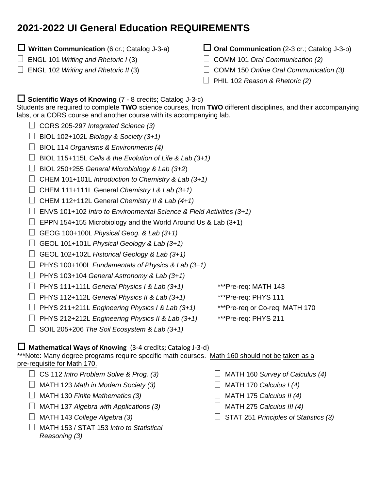# **2021-2022 UI General Education REQUIREMENTS**

## **Written Communication** (6 cr.; Catalog J-3-a)

- ENGL 101 *Writing and Rhetoric I* (3)
- ENGL 102 *Writing and Rhetoric II* (3)
- **Oral Communication** (2-3 cr.; Catalog J-3-b)
- COMM 101 *Oral Communication (2)*
- COMM 150 *Online Oral Communication (3)*
- PHIL 102 *Reason & Rhetoric (2[\)](https://www.uidaho.edu/class/english/first-year/placement)*

# **Scientific Ways of Knowing** (7 - <sup>8</sup> credits; Catalog J-3-c)

Students are required to complete **TWO** science courses, from **TWO** different disciplines, and their accompanying labs, or a CORS course and another course with its accompanying lab.

- CORS 205-297 *Integrated Science (3)*
- BIOL 102+102L *Biology & Society (3+1)*
- BIOL 114 *Organisms & Environments (4)*
- BIOL 115+115L *Cells & the Evolution of Life & Lab (3+1)*
- BIOL 250+255 *General Microbiology & Lab (3+2*)
- CHEM 101+101L *Introduction to Chemistry & Lab (3+1)*
- CHEM 111+111L General *Chemistry I & Lab (3+1)*
- CHEM 112+112L General *Chemistry II & Lab (4+1)*
- ENVS 101+102 *Intro to Environmental Science & Field Activities (3+1)*
- $\Box$  EPPN 154+155 Microbiology and the World Around Us & Lab (3+1)
- GEOG 100+100L *Physical Geog. & Lab (3+1)*
- GEOL 101+101L *Physical Geology & Lab (3+1)*
- GEOL 102+102L *Historical Geology & Lab (3+1)*
- PHYS 100+100L *Fundamentals of Physics & Lab (3+1)*
- PHYS 103+104 *General Astronomy & Lab (3+1)*
- PHYS 111+111L *General Physics I & Lab (3+1)* \*\*\*Pre-req: MATH 143
- PHYS 112+112L *General Physics II & Lab (3+1)* \*\*\*Pre-req: PHYS 111
- PHYS 211+211L *Engineering Physics I & Lab (3+1)* \*\*\*Pre-req or Co-req: MATH 170
- PHYS 212+212L *Engineering Physics II & Lab (3+1)* \*\*\*Pre-req: PHYS 211
- SOIL 205+206 *The Soil Ecosystem & Lab (3+1)*
- **Mathematical Ways of Knowing** (3-4 credits; Catalog J-3-d)

\*\*\*Note: Many degree programs require specific math courses. Math 160 should not be taken as a pre-requisite for Math 170.

- CS 112 *Intro Problem Solve & Prog. (3)*
- MATH 123 *Math in Modern Society (3)*
- MATH 130 *Finite Mathematics (3)*
- MATH 137 *Algebra with Applications (3)*
- MATH 143 *College Algebra (3)*
- MATH 153 / STAT 153 *Intro to Statistical Reasoning (3)*
- MATH 160 *Survey of Calculus (4)*
- MATH 170 *Calculus I (4)*
- MATH 175 *Calculus II (4)*
- MATH 275 *Calculus III (4)*
- STAT 251 *Principles of Statistics (3)*